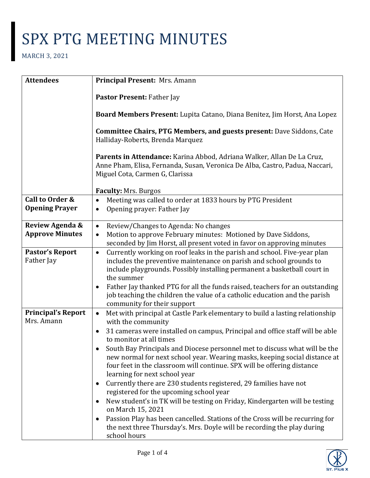| <b>Attendees</b>                         | Principal Present: Mrs. Amann                                                                                                                                                                                                                                        |
|------------------------------------------|----------------------------------------------------------------------------------------------------------------------------------------------------------------------------------------------------------------------------------------------------------------------|
|                                          | Pastor Present: Father Jay                                                                                                                                                                                                                                           |
|                                          | Board Members Present: Lupita Catano, Diana Benitez, Jim Horst, Ana Lopez                                                                                                                                                                                            |
|                                          | <b>Committee Chairs, PTG Members, and guests present: Dave Siddons, Cate</b><br>Halliday-Roberts, Brenda Marquez                                                                                                                                                     |
|                                          | Parents in Attendance: Karina Abbod, Adriana Walker, Allan De La Cruz,<br>Anne Pham, Elisa, Fernanda, Susan, Veronica De Alba, Castro, Padua, Naccari,<br>Miguel Cota, Carmen G, Clarissa                                                                            |
|                                          | Faculty: Mrs. Burgos                                                                                                                                                                                                                                                 |
| Call to Order &<br><b>Opening Prayer</b> | Meeting was called to order at 1833 hours by PTG President<br>$\bullet$<br>Opening prayer: Father Jay<br>$\bullet$                                                                                                                                                   |
| Review Agenda &                          | Review/Changes to Agenda: No changes<br>$\bullet$                                                                                                                                                                                                                    |
| <b>Approve Minutes</b>                   | Motion to approve February minutes: Motioned by Dave Siddons,<br>$\bullet$                                                                                                                                                                                           |
|                                          | seconded by Jim Horst, all present voted in favor on approving minutes                                                                                                                                                                                               |
| <b>Pastor's Report</b><br>Father Jay     | Currently working on roof leaks in the parish and school. Five-year plan<br>$\bullet$<br>includes the preventive maintenance on parish and school grounds to<br>include playgrounds. Possibly installing permanent a basketball court in<br>the summer               |
|                                          | Father Jay thanked PTG for all the funds raised, teachers for an outstanding<br>job teaching the children the value of a catholic education and the parish<br>community for their support                                                                            |
| <b>Principal's Report</b><br>Mrs. Amann  | Met with principal at Castle Park elementary to build a lasting relationship<br>$\bullet$<br>with the community                                                                                                                                                      |
|                                          | 31 cameras were installed on campus, Principal and office staff will be able<br>to monitor at all times                                                                                                                                                              |
|                                          | South Bay Principals and Diocese personnel met to discuss what will be the<br>new normal for next school year. Wearing masks, keeping social distance at<br>four feet in the classroom will continue. SPX will be offering distance<br>learning for next school year |
|                                          | Currently there are 230 students registered, 29 families have not<br>٠<br>registered for the upcoming school year                                                                                                                                                    |
|                                          | New student's in TK will be testing on Friday, Kindergarten will be testing<br>on March 15, 2021                                                                                                                                                                     |
|                                          | Passion Play has been cancelled. Stations of the Cross will be recurring for<br>the next three Thursday's. Mrs. Doyle will be recording the play during<br>school hours                                                                                              |

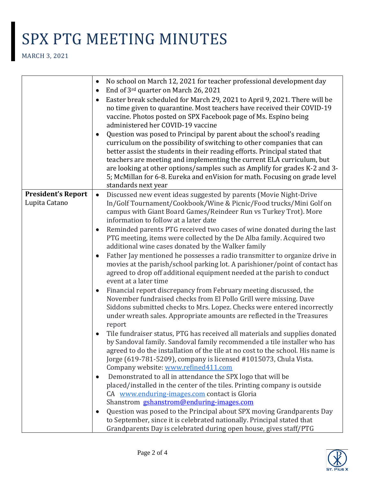|                                            | No school on March 12, 2021 for teacher professional development day<br>٠                                                                                                                                                                                                                                                                                                                                                                                                                |
|--------------------------------------------|------------------------------------------------------------------------------------------------------------------------------------------------------------------------------------------------------------------------------------------------------------------------------------------------------------------------------------------------------------------------------------------------------------------------------------------------------------------------------------------|
|                                            | End of 3rd quarter on March 26, 2021                                                                                                                                                                                                                                                                                                                                                                                                                                                     |
|                                            | Easter break scheduled for March 29, 2021 to April 9, 2021. There will be<br>no time given to quarantine. Most teachers have received their COVID-19<br>vaccine. Photos posted on SPX Facebook page of Ms. Espino being<br>administered her COVID-19 vaccine                                                                                                                                                                                                                             |
|                                            | Question was posed to Principal by parent about the school's reading<br>curriculum on the possibility of switching to other companies that can<br>better assist the students in their reading efforts. Principal stated that<br>teachers are meeting and implementing the current ELA curriculum, but<br>are looking at other options/samples such as Amplify for grades K-2 and 3-<br>5; McMillan for 6-8. Eureka and enVision for math. Focusing on grade level<br>standards next year |
| <b>President's Report</b><br>Lupita Catano | Discussed new event ideas suggested by parents (Movie Night-Drive<br>$\bullet$<br>In/Golf Tournament/Cookbook/Wine & Picnic/Food trucks/Mini Golf on<br>campus with Giant Board Games/Reindeer Run vs Turkey Trot). More<br>information to follow at a later date                                                                                                                                                                                                                        |
|                                            | Reminded parents PTG received two cases of wine donated during the last<br>$\bullet$<br>PTG meeting, items were collected by the De Alba family. Acquired two<br>additional wine cases donated by the Walker family                                                                                                                                                                                                                                                                      |
|                                            | Father Jay mentioned he possesses a radio transmitter to organize drive in<br>$\bullet$<br>movies at the parish/school parking lot. A parishioner/point of contact has<br>agreed to drop off additional equipment needed at the parish to conduct<br>event at a later time                                                                                                                                                                                                               |
|                                            | Financial report discrepancy from February meeting discussed, the<br>November fundraised checks from El Pollo Grill were missing. Dave<br>Siddons submitted checks to Mrs. Lopez. Checks were entered incorrectly<br>under wreath sales. Appropriate amounts are reflected in the Treasures<br>report                                                                                                                                                                                    |
|                                            | Tile fundraiser status, PTG has received all materials and supplies donated<br>by Sandoval family. Sandoval family recommended a tile installer who has<br>agreed to do the installation of the tile at no cost to the school. His name is<br>Jorge (619-781-5209), company is licensed #1015073, Chula Vista.<br>Company website: www.refined411.com                                                                                                                                    |
|                                            | Demonstrated to all in attendance the SPX logo that will be<br>placed/installed in the center of the tiles. Printing company is outside<br>CA www.enduring-images.com contact is Gloria<br>Shanstrom gshanstrom@enduring-images.com                                                                                                                                                                                                                                                      |
|                                            | Question was posed to the Principal about SPX moving Grandparents Day<br>٠<br>to September, since it is celebrated nationally. Principal stated that<br>Grandparents Day is celebrated during open house, gives staff/PTG                                                                                                                                                                                                                                                                |

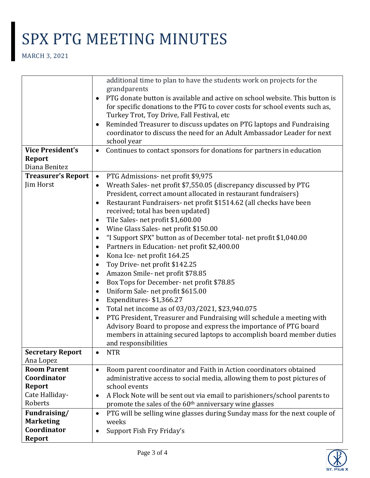|                           | additional time to plan to have the students work on projects for the                   |
|---------------------------|-----------------------------------------------------------------------------------------|
|                           | grandparents                                                                            |
|                           | PTG donate button is available and active on school website. This button is<br>٠        |
|                           | for specific donations to the PTG to cover costs for school events such as,             |
|                           | Turkey Trot, Toy Drive, Fall Festival, etc                                              |
|                           | Reminded Treasurer to discuss updates on PTG laptops and Fundraising<br>٠               |
|                           | coordinator to discuss the need for an Adult Ambassador Leader for next                 |
|                           | school year                                                                             |
| <b>Vice President's</b>   | Continues to contact sponsors for donations for partners in education<br>$\bullet$      |
| Report                    |                                                                                         |
| Diana Benitez             |                                                                                         |
| <b>Treasurer's Report</b> | PTG Admissions- net profit \$9,975<br>$\bullet$                                         |
| Jim Horst                 | Wreath Sales- net profit \$7,550.05 (discrepancy discussed by PTG<br>٠                  |
|                           | President, correct amount allocated in restaurant fundraisers)                          |
|                           | Restaurant Fundraisers- net profit \$1514.62 (all checks have been<br>٠                 |
|                           | received; total has been updated)                                                       |
|                           | Tile Sales-net profit \$1,600.00<br>٠                                                   |
|                           | Wine Glass Sales- net profit \$150.00<br>٠                                              |
|                           | "I Support SPX" button as of December total- net profit \$1,040.00<br>٠                 |
|                           | Partners in Education- net profit \$2,400.00<br>٠                                       |
|                           | Kona Ice- net profit 164.25<br>٠                                                        |
|                           | Toy Drive- net profit \$142.25<br>٠                                                     |
|                           | Amazon Smile- net profit \$78.85<br>٠                                                   |
|                           | Box Tops for December- net profit \$78.85<br>٠                                          |
|                           | Uniform Sale-net profit \$615.00<br>٠                                                   |
|                           | Expenditures-\$1,366.27<br>٠                                                            |
|                           | Total net income as of 03/03/2021, \$23,940.075<br>٠                                    |
|                           | PTG President, Treasurer and Fundraising will schedule a meeting with<br>٠              |
|                           | Advisory Board to propose and express the importance of PTG board                       |
|                           | members in attaining secured laptops to accomplish board member duties                  |
|                           | and responsibilities                                                                    |
| <b>Secretary Report</b>   | <b>NTR</b>                                                                              |
| Ana Lopez                 |                                                                                         |
| <b>Room Parent</b>        | Room parent coordinator and Faith in Action coordinators obtained<br>$\bullet$          |
| Coordinator               | administrative access to social media, allowing them to post pictures of                |
| <b>Report</b>             | school events                                                                           |
| Cate Halliday-            | A Flock Note will be sent out via email to parishioners/school parents to<br>$\bullet$  |
| Roberts                   | promote the sales of the 60 <sup>th</sup> anniversary wine glasses                      |
| Fundraising/              | PTG will be selling wine glasses during Sunday mass for the next couple of<br>$\bullet$ |
| <b>Marketing</b>          | weeks                                                                                   |
| Coordinator               | Support Fish Fry Friday's                                                               |
| <b>Report</b>             |                                                                                         |